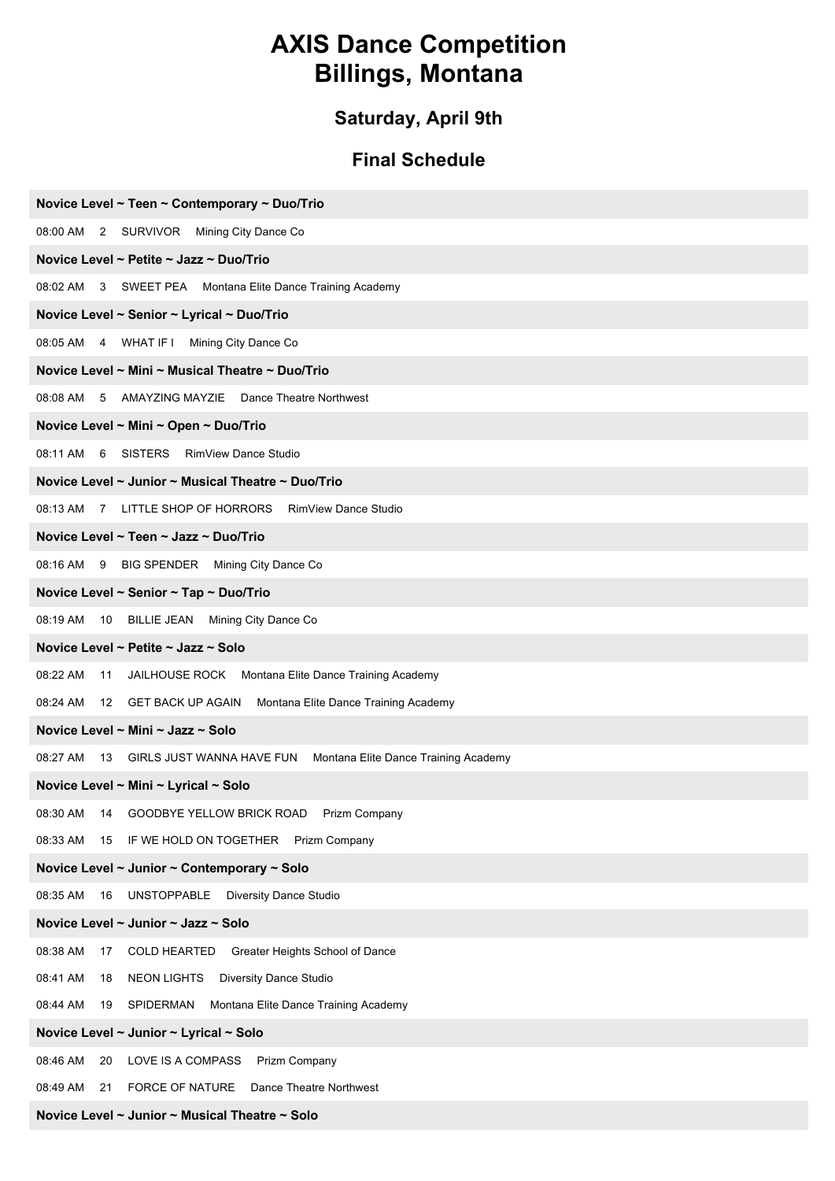# **AXIS Dance Competition Billings, Montana**

# **Saturday, April 9th**

# **Final Schedule**

| Novice Level ~ Teen ~ Contemporary ~ Duo/Trio                                    |
|----------------------------------------------------------------------------------|
| 08:00 AM 2 SURVIVOR Mining City Dance Co                                         |
| Novice Level ~ Petite ~ Jazz ~ Duo/Trio                                          |
| 08:02 AM 3 SWEET PEA Montana Elite Dance Training Academy                        |
| Novice Level ~ Senior ~ Lyrical ~ Duo/Trio                                       |
| 08:05 AM 4 WHAT IF I Mining City Dance Co                                        |
| Novice Level ~ Mini ~ Musical Theatre ~ Duo/Trio                                 |
| 08:08 AM 5 AMAYZING MAYZIE Dance Theatre Northwest                               |
| Novice Level ~ Mini ~ Open ~ Duo/Trio                                            |
| 08:11 AM 6 SISTERS RimView Dance Studio                                          |
| Novice Level ~ Junior ~ Musical Theatre ~ Duo/Trio                               |
| 08:13 AM 7 LITTLE SHOP OF HORRORS RimView Dance Studio                           |
| Novice Level ~ Teen ~ Jazz ~ Duo/Trio                                            |
| 08:16 AM 9 BIG SPENDER Mining City Dance Co                                      |
| Novice Level ~ Senior ~ Tap ~ Duo/Trio                                           |
| 08:19 AM<br>10 BILLIE JEAN Mining City Dance Co                                  |
| Novice Level ~ Petite ~ Jazz ~ Solo                                              |
| 08:22 AM<br>JAILHOUSE ROCK Montana Elite Dance Training Academy<br>11            |
| 08:24 AM 12 GET BACK UP AGAIN Montana Elite Dance Training Academy               |
| Novice Level ~ Mini ~ Jazz ~ Solo                                                |
| 08:27 AM<br>13 GIRLS JUST WANNA HAVE FUN<br>Montana Elite Dance Training Academy |
| Novice Level ~ Mini ~ Lyrical ~ Solo                                             |
| 08:30 AM 14 GOODBYE YELLOW BRICK ROAD Prizm Company                              |
| IF WE HOLD ON TOGETHER<br>08:33 AM<br>15<br>Prizm Company                        |
| Novice Level ~ Junior ~ Contemporary ~ Solo                                      |
| 08:35 AM<br>16<br><b>UNSTOPPABLE</b><br><b>Diversity Dance Studio</b>            |
| Novice Level ~ Junior ~ Jazz ~ Solo                                              |
| 08:38 AM<br><b>COLD HEARTED</b><br>Greater Heights School of Dance<br>17         |
| <b>NEON LIGHTS</b><br>Diversity Dance Studio<br>08:41 AM<br>18                   |
| 08:44 AM<br>SPIDERMAN<br>Montana Elite Dance Training Academy<br>19              |
| Novice Level ~ Junior ~ Lyrical ~ Solo                                           |
| 08:46 AM<br>LOVE IS A COMPASS<br>Prizm Company<br>20                             |
| 08:49 AM<br><b>FORCE OF NATURE</b><br>Dance Theatre Northwest<br>21              |

**Novice Level ~ Junior ~ Musical Theatre ~ Solo**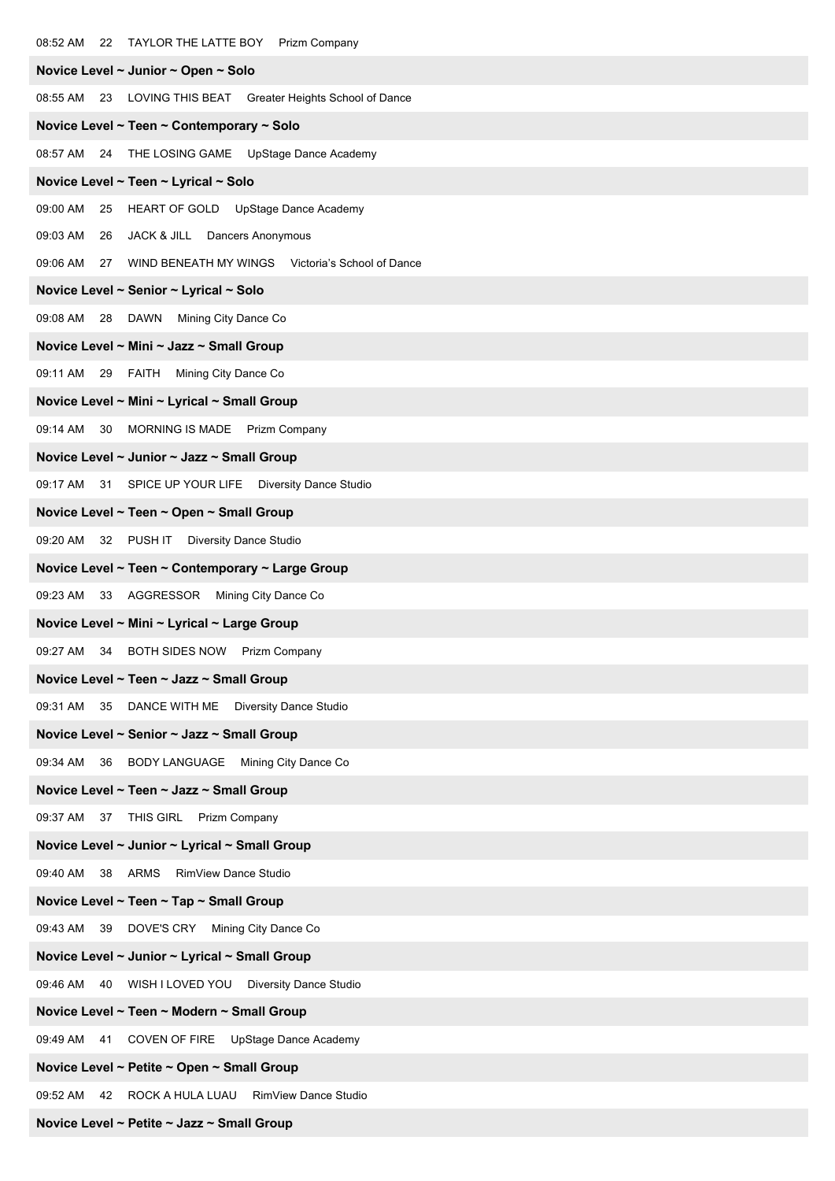| 08:52 AM 22 TAYLOR THE LATTE BOY Prizm Company               |
|--------------------------------------------------------------|
| Novice Level ~ Junior ~ Open ~ Solo                          |
| 08:55 AM 23 LOVING THIS BEAT Greater Heights School of Dance |
| Novice Level ~ Teen ~ Contemporary ~ Solo                    |
| 08:57 AM 24 THE LOSING GAME UpStage Dance Academy            |
| Novice Level ~ Teen ~ Lyrical ~ Solo                         |
| 09:00 AM<br>HEART OF GOLD UpStage Dance Academy<br>25        |
| 09:03 AM<br>JACK & JILL Dancers Anonymous<br>26              |
| 09:06 AM 27 WIND BENEATH MY WINGS Victoria's School of Dance |
| Novice Level ~ Senior ~ Lyrical ~ Solo                       |
| 09:08 AM 28 DAWN Mining City Dance Co                        |
| Novice Level ~ Mini ~ Jazz ~ Small Group                     |
| 09:11 AM 29 FAITH Mining City Dance Co                       |
| Novice Level ~ Mini ~ Lyrical ~ Small Group                  |
| 09:14 AM 30 MORNING IS MADE Prizm Company                    |
| Novice Level ~ Junior ~ Jazz ~ Small Group                   |
| 09:17 AM 31 SPICE UP YOUR LIFE Diversity Dance Studio        |
| Novice Level ~ Teen ~ Open ~ Small Group                     |
| 09:20 AM 32 PUSH IT Diversity Dance Studio                   |
| Novice Level ~ Teen ~ Contemporary ~ Large Group             |
| AGGRESSOR Mining City Dance Co<br>09:23 AM<br>33             |
| Novice Level ~ Mini ~ Lyrical ~ Large Group                  |
| 09:27 AM 34 BOTH SIDES NOW Prizm Company                     |
| Novice Level ~ Teen ~ Jazz ~ Small Group                     |
| 09:31 AM<br>35<br>DANCE WITH ME Diversity Dance Studio       |
| Novice Level ~ Senior ~ Jazz ~ Small Group                   |
| 09:34 AM 36 BODY LANGUAGE Mining City Dance Co               |
| Novice Level ~ Teen ~ Jazz ~ Small Group                     |
| 09:37 AM 37 THIS GIRL Prizm Company                          |
| Novice Level ~ Junior ~ Lyrical ~ Small Group                |
| 38 ARMS<br><b>RimView Dance Studio</b><br>09:40 AM           |
| Novice Level ~ Teen ~ Tap ~ Small Group                      |
| 09:43 AM 39 DOVE'S CRY Mining City Dance Co                  |
| Novice Level ~ Junior ~ Lyrical ~ Small Group                |
| 09:46 AM 40 WISH I LOVED YOU Diversity Dance Studio          |
| Novice Level ~ Teen ~ Modern ~ Small Group                   |
| 09:49 AM<br>41<br>COVEN OF FIRE UpStage Dance Academy        |
| Novice Level ~ Petite ~ Open ~ Small Group                   |
| 09:52 AM<br>42 ROCK A HULA LUAU RimView Dance Studio         |
| Novice Level ~ Petite ~ Jazz ~ Small Group                   |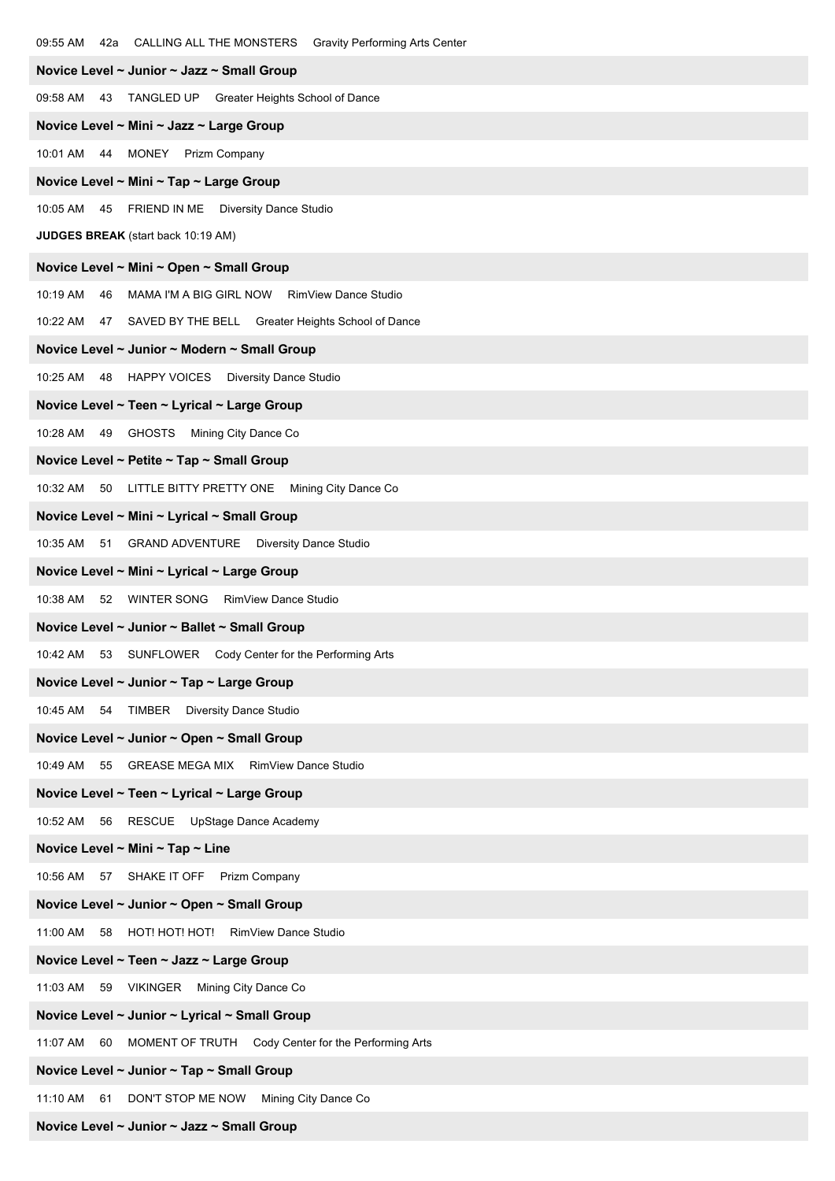| CALLING ALL THE MONSTERS Gravity Performing Arts Center<br>09:55 AM<br>42a |
|----------------------------------------------------------------------------|
| Novice Level ~ Junior ~ Jazz ~ Small Group                                 |
| 09:58 AM 43 TANGLED UP Greater Heights School of Dance                     |
| Novice Level ~ Mini ~ Jazz ~ Large Group                                   |
| 10:01 AM 44 MONEY Prizm Company                                            |
| Novice Level ~ Mini ~ Tap ~ Large Group                                    |
| 10:05 AM<br>45 FRIEND IN ME Diversity Dance Studio                         |
| JUDGES BREAK (start back 10:19 AM)                                         |
| Novice Level ~ Mini ~ Open ~ Small Group                                   |
| MAMA I'M A BIG GIRL NOW RimView Dance Studio<br>10:19 AM<br>46             |
| 10:22 AM 47 SAVED BY THE BELL Greater Heights School of Dance              |
| Novice Level ~ Junior ~ Modern ~ Small Group                               |
| 10:25 AM<br>48 HAPPY VOICES Diversity Dance Studio                         |
| Novice Level ~ Teen ~ Lyrical ~ Large Group                                |
| 10:28 AM 49 GHOSTS Mining City Dance Co                                    |
| Novice Level ~ Petite ~ Tap ~ Small Group                                  |
| 50 LITTLE BITTY PRETTY ONE Mining City Dance Co<br>10:32 AM                |
| Novice Level ~ Mini ~ Lyrical ~ Small Group                                |
| 10:35 AM 51 GRAND ADVENTURE Diversity Dance Studio                         |
| Novice Level ~ Mini ~ Lyrical ~ Large Group                                |
| 10:38 AM 52 WINTER SONG RimView Dance Studio                               |
| Novice Level ~ Junior ~ Ballet ~ Small Group                               |
| 10:42 AM 53 SUNFLOWER Cody Center for the Performing Arts                  |
| Novice Level ~ Junior ~ Tap ~ Large Group                                  |
| 10:45 AM<br>54 TIMBER Diversity Dance Studio                               |
| Novice Level ~ Junior ~ Open ~ Small Group                                 |
| 10:49 AM<br>GREASE MEGA MIX RimView Dance Studio<br>55                     |
| Novice Level ~ Teen ~ Lyrical ~ Large Group                                |
| 10:52 AM 56 RESCUE UpStage Dance Academy                                   |
| Novice Level ~ Mini ~ Tap ~ Line                                           |
| 10:56 AM 57 SHAKE IT OFF Prizm Company                                     |
| Novice Level ~ Junior ~ Open ~ Small Group                                 |
| 11:00 AM<br>58 HOT! HOT! HOT! RimView Dance Studio                         |
| Novice Level ~ Teen ~ Jazz ~ Large Group                                   |
| 11:03 AM 59 VIKINGER Mining City Dance Co                                  |
| Novice Level ~ Junior ~ Lyrical ~ Small Group                              |
| 11:07 AM<br>60<br>MOMENT OF TRUTH Cody Center for the Performing Arts      |
| Novice Level ~ Junior ~ Tap ~ Small Group                                  |
| DON'T STOP ME NOW Mining City Dance Co<br>11:10 AM<br>61                   |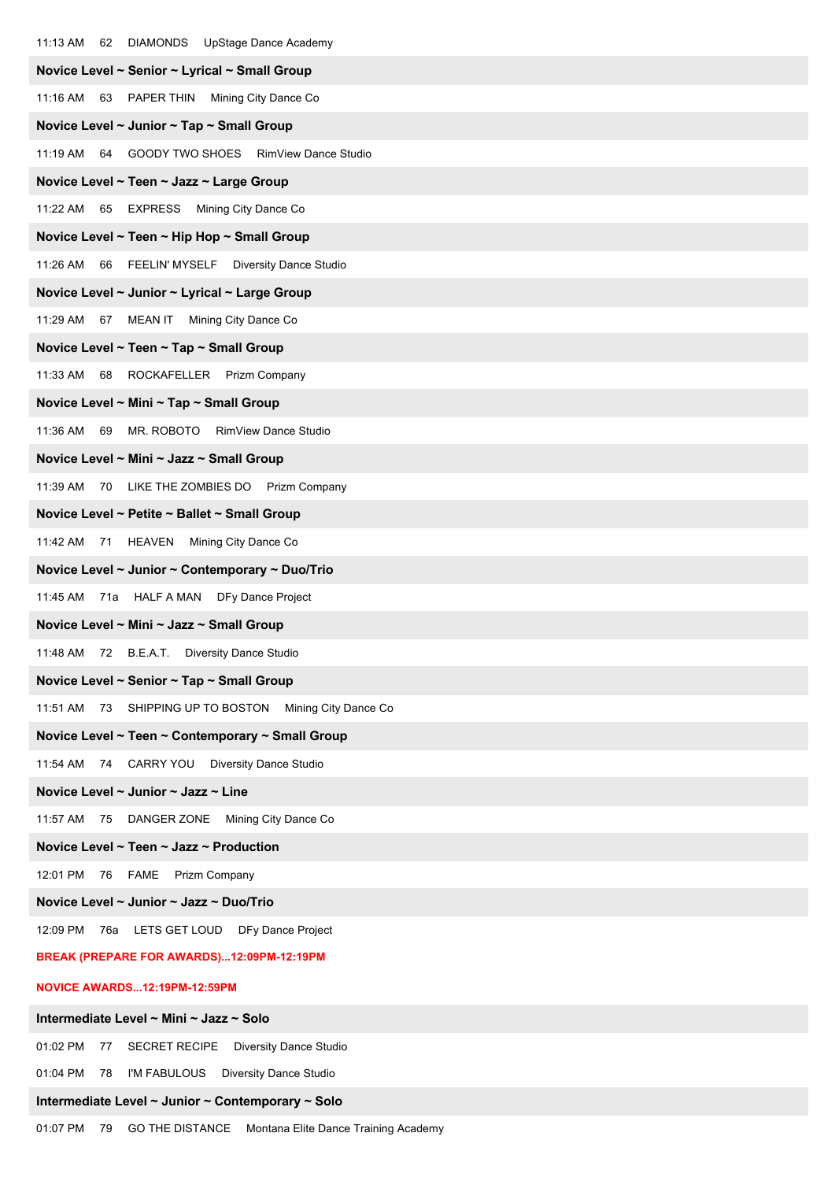| 62 DIAMONDS UpStage Dance Academy<br>11:13 AM                   |
|-----------------------------------------------------------------|
| Novice Level ~ Senior ~ Lyrical ~ Small Group                   |
| 11:16 AM 63 PAPER THIN Mining City Dance Co                     |
| Novice Level ~ Junior ~ Tap ~ Small Group                       |
| 11:19 AM 64 GOODY TWO SHOES RimView Dance Studio                |
| Novice Level ~ Teen ~ Jazz ~ Large Group                        |
| 11:22 AM 65 EXPRESS Mining City Dance Co                        |
| Novice Level ~ Teen ~ Hip Hop ~ Small Group                     |
| 11:26 AM 66 FEELIN' MYSELF Diversity Dance Studio               |
| Novice Level ~ Junior ~ Lyrical ~ Large Group                   |
| 11:29 AM 67 MEAN IT Mining City Dance Co                        |
| Novice Level ~ Teen ~ Tap ~ Small Group                         |
| 11:33 AM 68 ROCKAFELLER Prizm Company                           |
| Novice Level ~ Mini ~ Tap ~ Small Group                         |
| 11:36 AM 69 MR. ROBOTO RimView Dance Studio                     |
| Novice Level ~ Mini ~ Jazz ~ Small Group                        |
| 11:39 AM<br>70 LIKE THE ZOMBIES DO Prizm Company                |
| Novice Level ~ Petite ~ Ballet ~ Small Group                    |
| 11:42 AM 71 HEAVEN Mining City Dance Co                         |
| Novice Level ~ Junior ~ Contemporary ~ Duo/Trio                 |
| 11:45 AM<br>71a HALF A MAN DFy Dance Project                    |
| Novice Level ~ Mini ~ Jazz ~ Small Group                        |
| 72 B.E.A.T. Diversity Dance Studio<br>11:48 AM                  |
| Novice Level ~ Senior ~ Tap ~ Small Group                       |
| 11:51 AM<br>73<br>SHIPPING UP TO BOSTON<br>Mining City Dance Co |
| Novice Level ~ Teen ~ Contemporary ~ Small Group                |
| 11:54 AM<br>74 CARRY YOU<br><b>Diversity Dance Studio</b>       |
| Novice Level ~ Junior ~ Jazz ~ Line                             |
| 75 DANGER ZONE Mining City Dance Co<br>11:57 AM                 |
| Novice Level ~ Teen ~ Jazz ~ Production                         |
| 12:01 PM<br>76<br><b>FAME</b><br>Prizm Company                  |
| Novice Level ~ Junior ~ Jazz ~ Duo/Trio                         |
| 76a LETS GET LOUD DFy Dance Project<br>12:09 PM                 |
| BREAK (PREPARE FOR AWARDS)12:09PM-12:19PM                       |
| NOVICE AWARDS12:19PM-12:59PM                                    |
| Intermediate Level ~ Mini ~ Jazz ~ Solo                         |
| 01:02 PM<br>SECRET RECIPE Diversity Dance Studio<br>77          |
| 01:04 PM<br>I'M FABULOUS<br><b>Diversity Dance Studio</b><br>78 |
| Intermediate Level ~ Junior ~ Contemporary ~ Solo               |

01:07 PM 79 GO THE DISTANCE Montana Elite Dance Training Academy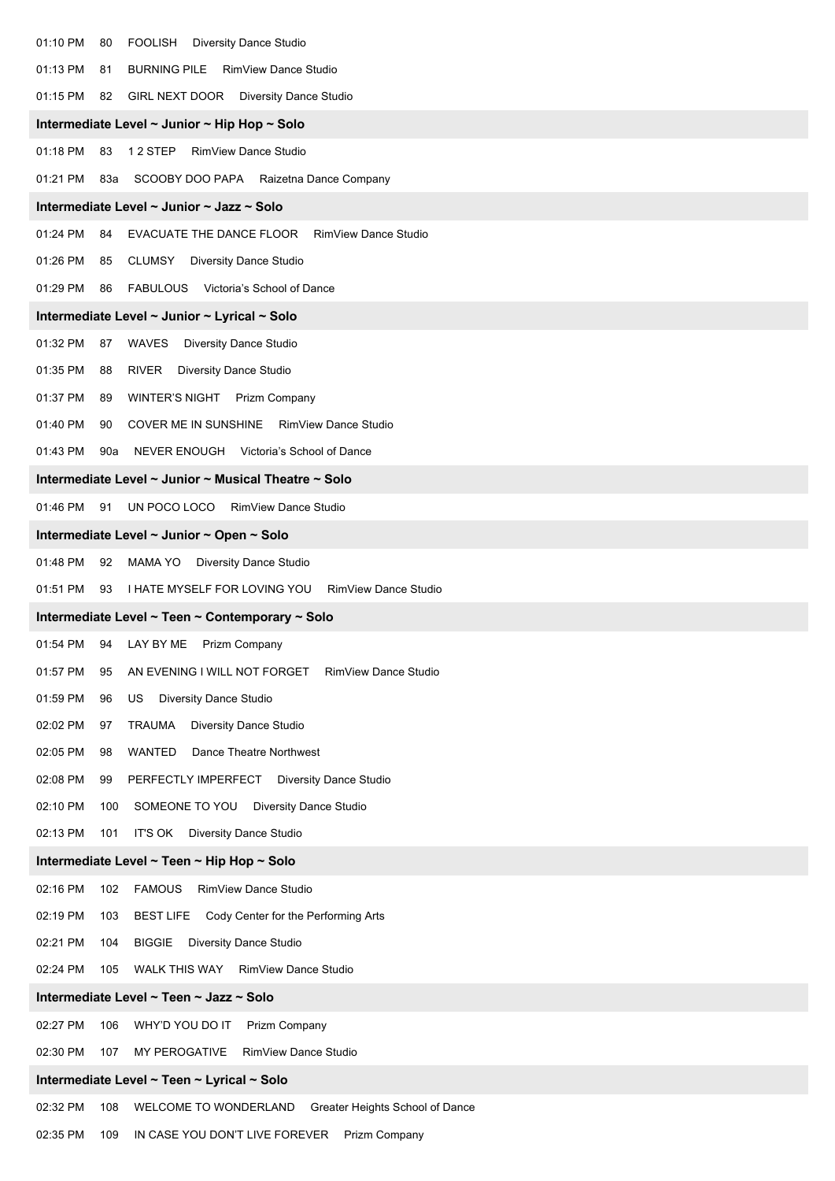| 01:10 PM<br>FOOLISH<br><b>Diversity Dance Studio</b><br>80                                                                             |  |
|----------------------------------------------------------------------------------------------------------------------------------------|--|
| 01:13 PM<br>BURNING PILE RimView Dance Studio<br>81                                                                                    |  |
| 01:15 PM<br>GIRL NEXT DOOR Diversity Dance Studio<br>82                                                                                |  |
| Intermediate Level ~ Junior ~ Hip Hop ~ Solo                                                                                           |  |
| 01:18 PM<br>12 STEP<br>83<br>RimView Dance Studio                                                                                      |  |
| 01:21 PM<br>83a SCOOBY DOO PAPA Raizetna Dance Company                                                                                 |  |
| Intermediate Level ~ Junior ~ Jazz ~ Solo                                                                                              |  |
| 01:24 PM<br>EVACUATE THE DANCE FLOOR RimView Dance Studio<br>84                                                                        |  |
| 01:26 PM<br>CLUMSY<br><b>Diversity Dance Studio</b><br>85                                                                              |  |
| 01:29 PM<br>FABULOUS Victoria's School of Dance<br>86                                                                                  |  |
| Intermediate Level ~ Junior ~ Lyrical ~ Solo                                                                                           |  |
| 01:32 PM<br>WAVES<br><b>Diversity Dance Studio</b><br>87                                                                               |  |
| 01:35 PM<br><b>RIVER</b><br><b>Diversity Dance Studio</b><br>88                                                                        |  |
| 01:37 PM<br>WINTER'S NIGHT Prizm Company<br>89                                                                                         |  |
| 01:40 PM<br>COVER ME IN SUNSHINE RimView Dance Studio<br>90                                                                            |  |
| 01:43 PM<br>NEVER ENOUGH Victoria's School of Dance<br>90a                                                                             |  |
| Intermediate Level ~ Junior ~ Musical Theatre ~ Solo                                                                                   |  |
| 01:46 PM<br>91<br>UN POCO LOCO RimView Dance Studio                                                                                    |  |
| Intermediate Level ~ Junior ~ Open ~ Solo                                                                                              |  |
| 01:48 PM<br>MAMA YO Diversity Dance Studio<br>92                                                                                       |  |
| 01:51 PM<br>93<br>I HATE MYSELF FOR LOVING YOU<br><b>RimView Dance Studio</b>                                                          |  |
| Intermediate Level ~ Teen ~ Contemporary ~ Solo                                                                                        |  |
| 01:54 PM<br>94 LAY BY ME<br>Prizm Company                                                                                              |  |
| 01:57 PM<br>AN EVENING I WILL NOT FORGET<br>RimView Dance Studio<br>95                                                                 |  |
| 01:59 PM<br><b>Diversity Dance Studio</b><br>96<br>US                                                                                  |  |
| 02:02 PM<br>TRAUMA<br>Diversity Dance Studio<br>97                                                                                     |  |
| 02:05 PM<br>WANTED<br>Dance Theatre Northwest<br>98                                                                                    |  |
| 02:08 PM<br>PERFECTLY IMPERFECT<br><b>Diversity Dance Studio</b><br>99                                                                 |  |
| 02:10 PM<br>100<br>SOMEONE TO YOU<br>Diversity Dance Studio<br>02:13 PM<br>IT'S OK                                                     |  |
| 101<br><b>Diversity Dance Studio</b>                                                                                                   |  |
| Intermediate Level ~ Teen ~ Hip Hop ~ Solo                                                                                             |  |
| 02:16 PM<br><b>FAMOUS</b><br>RimView Dance Studio<br>102<br>02:19 PM<br>103<br><b>BEST LIFE</b><br>Cody Center for the Performing Arts |  |
| 02:21 PM<br>104<br><b>BIGGIE</b><br>Diversity Dance Studio                                                                             |  |
| 02:24 PM<br>105<br>WALK THIS WAY RimView Dance Studio                                                                                  |  |
|                                                                                                                                        |  |
|                                                                                                                                        |  |
| Intermediate Level ~ Teen ~ Jazz ~ Solo                                                                                                |  |
| 02:27 PM<br>WHY'D YOU DO IT<br>Prizm Company<br>106                                                                                    |  |
| 02:30 PM<br>RimView Dance Studio<br>107<br>MY PEROGATIVE                                                                               |  |
| Intermediate Level ~ Teen ~ Lyrical ~ Solo<br>02:32 PM<br>108<br>WELCOME TO WONDERLAND<br>Greater Heights School of Dance              |  |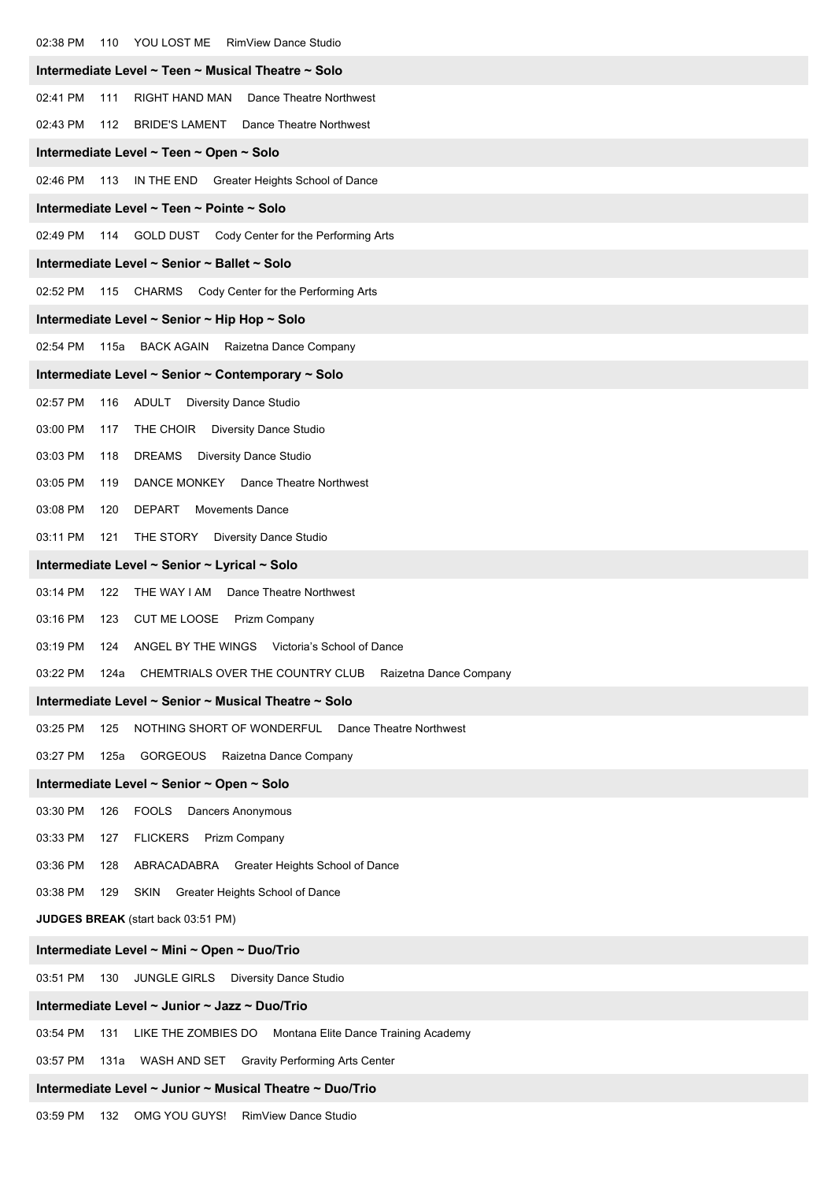| 02:38 PM<br>110<br>YOU LOST ME<br><b>RimView Dance Studio</b>               |  |  |  |  |  |
|-----------------------------------------------------------------------------|--|--|--|--|--|
| Intermediate Level ~ Teen ~ Musical Theatre ~ Solo                          |  |  |  |  |  |
| 02:41 PM<br>Dance Theatre Northwest<br>111<br>RIGHT HAND MAN                |  |  |  |  |  |
| 02:43 PM<br>BRIDE'S LAMENT Dance Theatre Northwest<br>112                   |  |  |  |  |  |
| Intermediate Level ~ Teen ~ Open ~ Solo                                     |  |  |  |  |  |
| 02:46 PM<br>113 IN THE END Greater Heights School of Dance                  |  |  |  |  |  |
| Intermediate Level ~ Teen ~ Pointe ~ Solo                                   |  |  |  |  |  |
| 02:49 PM<br>114 GOLD DUST Cody Center for the Performing Arts               |  |  |  |  |  |
| Intermediate Level ~ Senior ~ Ballet ~ Solo                                 |  |  |  |  |  |
| 02:52 PM<br>115 CHARMS Cody Center for the Performing Arts                  |  |  |  |  |  |
| Intermediate Level ~ Senior ~ Hip Hop ~ Solo                                |  |  |  |  |  |
| 02:54 PM<br>115a<br><b>BACK AGAIN</b><br>Raizetna Dance Company             |  |  |  |  |  |
| Intermediate Level ~ Senior ~ Contemporary ~ Solo                           |  |  |  |  |  |
| 02:57 PM<br>ADULT<br><b>Diversity Dance Studio</b><br>116                   |  |  |  |  |  |
| 03:00 PM<br>THE CHOIR<br>117<br><b>Diversity Dance Studio</b>               |  |  |  |  |  |
| 03:03 PM<br>DREAMS<br>118<br><b>Diversity Dance Studio</b>                  |  |  |  |  |  |
| 03:05 PM<br>DANCE MONKEY Dance Theatre Northwest<br>119                     |  |  |  |  |  |
| 03:08 PM<br>120<br><b>DEPART</b><br><b>Movements Dance</b>                  |  |  |  |  |  |
| 03:11 PM<br>THE STORY<br><b>Diversity Dance Studio</b><br>121               |  |  |  |  |  |
| Intermediate Level ~ Senior ~ Lyrical ~ Solo                                |  |  |  |  |  |
| 03:14 PM<br>Dance Theatre Northwest<br>122<br>THE WAY I AM                  |  |  |  |  |  |
| 03:16 PM<br>CUT ME LOOSE Prizm Company<br>123                               |  |  |  |  |  |
| 03:19 PM<br>ANGEL BY THE WINGS Victoria's School of Dance<br>124            |  |  |  |  |  |
| CHEMTRIALS OVER THE COUNTRY CLUB Raizetna Dance Company<br>03:22 PM<br>124a |  |  |  |  |  |
| Intermediate Level ~ Senior ~ Musical Theatre ~ Solo                        |  |  |  |  |  |
| 03:25 PM<br>NOTHING SHORT OF WONDERFUL<br>Dance Theatre Northwest<br>125    |  |  |  |  |  |
| 03:27 PM<br>GORGEOUS Raizetna Dance Company<br>125a                         |  |  |  |  |  |
| Intermediate Level ~ Senior ~ Open ~ Solo                                   |  |  |  |  |  |
| 03:30 PM<br>FOOLS Dancers Anonymous<br>126                                  |  |  |  |  |  |
| 03:33 PM<br><b>FLICKERS</b><br>Prizm Company<br>127                         |  |  |  |  |  |
| 03:36 PM<br>128<br>ABRACADABRA Greater Heights School of Dance              |  |  |  |  |  |
| 03:38 PM<br>129<br>SKIN Greater Heights School of Dance                     |  |  |  |  |  |
| <b>JUDGES BREAK</b> (start back 03:51 PM)                                   |  |  |  |  |  |
| Intermediate Level ~ Mini ~ Open ~ Duo/Trio                                 |  |  |  |  |  |
| 03:51 PM<br>JUNGLE GIRLS Diversity Dance Studio<br>130                      |  |  |  |  |  |
| Intermediate Level ~ Junior ~ Jazz ~ Duo/Trio                               |  |  |  |  |  |
| 03:54 PM<br>LIKE THE ZOMBIES DO Montana Elite Dance Training Academy<br>131 |  |  |  |  |  |
| 03:57 PM<br>131a<br>WASH AND SET Gravity Performing Arts Center             |  |  |  |  |  |
| Intermediate Level ~ Junior ~ Musical Theatre ~ Duo/Trio                    |  |  |  |  |  |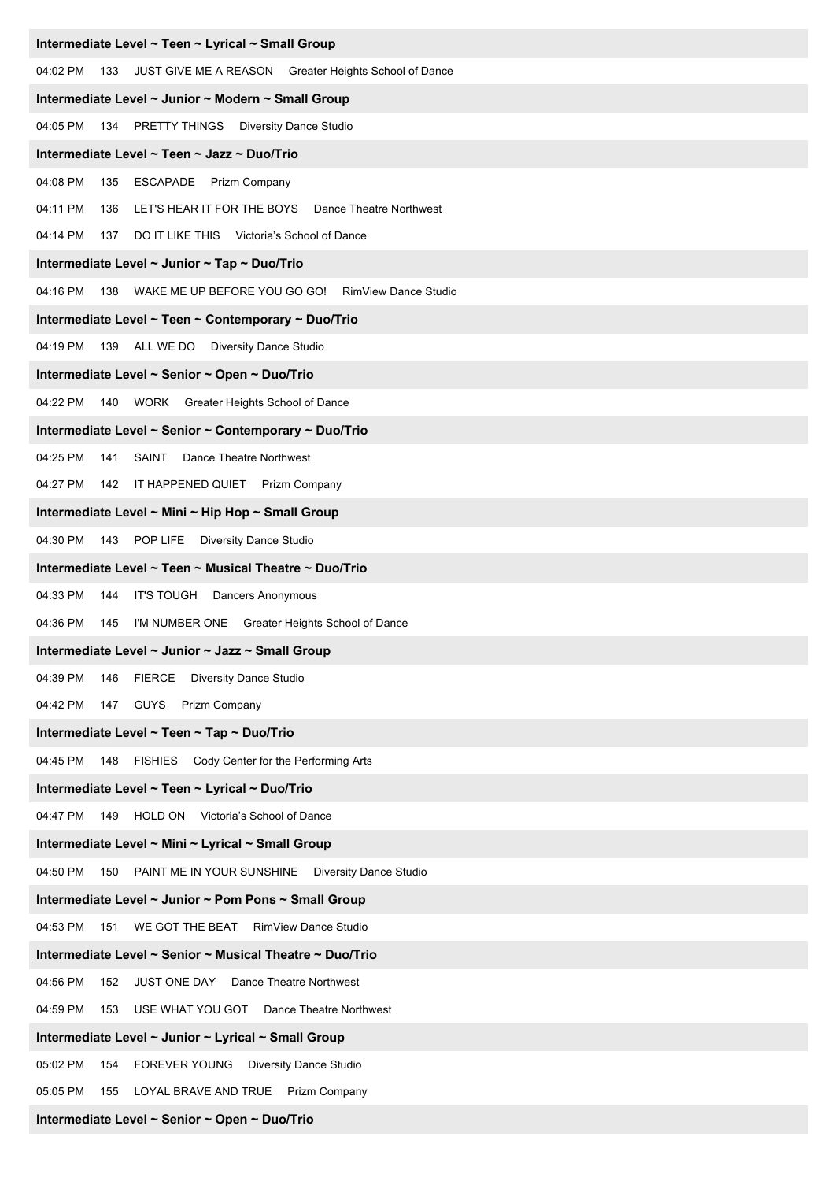| Intermediate Level ~ Teen ~ Lyrical ~ Small Group                        |  |  |  |
|--------------------------------------------------------------------------|--|--|--|
| 04:02 PM<br>133<br>JUST GIVE ME A REASON Greater Heights School of Dance |  |  |  |
| Intermediate Level ~ Junior ~ Modern ~ Small Group                       |  |  |  |
| 04:05 PM<br>134 PRETTY THINGS Diversity Dance Studio                     |  |  |  |
| Intermediate Level ~ Teen ~ Jazz ~ Duo/Trio                              |  |  |  |
| 04:08 PM<br>ESCAPADE Prizm Company<br>135                                |  |  |  |
| 04:11 PM<br>LET'S HEAR IT FOR THE BOYS Dance Theatre Northwest<br>136    |  |  |  |
| 04:14 PM<br>DO IT LIKE THIS Victoria's School of Dance<br>137            |  |  |  |
| Intermediate Level ~ Junior ~ Tap ~ Duo/Trio                             |  |  |  |
| 04:16 PM<br>138 WAKE ME UP BEFORE YOU GO GO! RimView Dance Studio        |  |  |  |
| Intermediate Level ~ Teen ~ Contemporary ~ Duo/Trio                      |  |  |  |
| 04:19 PM<br>139 ALL WE DO Diversity Dance Studio                         |  |  |  |
| Intermediate Level ~ Senior ~ Open ~ Duo/Trio                            |  |  |  |
| 04:22 PM<br>140 WORK Greater Heights School of Dance                     |  |  |  |
| Intermediate Level ~ Senior ~ Contemporary ~ Duo/Trio                    |  |  |  |
| 04:25 PM<br>SAINT<br>Dance Theatre Northwest<br>141                      |  |  |  |
| 04:27 PM<br>142 IT HAPPENED QUIET Prizm Company                          |  |  |  |
| Intermediate Level ~ Mini ~ Hip Hop ~ Small Group                        |  |  |  |
| 04:30 PM<br>143 POP LIFE<br><b>Diversity Dance Studio</b>                |  |  |  |
| Intermediate Level ~ Teen ~ Musical Theatre ~ Duo/Trio                   |  |  |  |
| 04:33 PM<br>IT'S TOUGH Dancers Anonymous<br>144                          |  |  |  |
| 04:36 PM<br>145<br>I'M NUMBER ONE Greater Heights School of Dance        |  |  |  |
| Intermediate Level ~ Junior ~ Jazz ~ Small Group                         |  |  |  |
| 04:39 PM<br><b>FIERCE</b><br>Diversity Dance Studio<br>146               |  |  |  |
| 04:42 PM<br>147 GUYS<br>Prizm Company                                    |  |  |  |
| Intermediate Level ~ Teen ~ Tap ~ Duo/Trio                               |  |  |  |
| 04:45 PM<br>148 FISHIES Cody Center for the Performing Arts              |  |  |  |
| Intermediate Level ~ Teen ~ Lyrical ~ Duo/Trio                           |  |  |  |
| 04:47 PM<br>HOLD ON Victoria's School of Dance<br>149                    |  |  |  |
| Intermediate Level ~ Mini ~ Lyrical ~ Small Group                        |  |  |  |
| 04:50 PM<br>PAINT ME IN YOUR SUNSHINE Diversity Dance Studio<br>150      |  |  |  |
| Intermediate Level ~ Junior ~ Pom Pons ~ Small Group                     |  |  |  |
| 04:53 PM<br>WE GOT THE BEAT<br>RimView Dance Studio<br>151               |  |  |  |
| Intermediate Level ~ Senior ~ Musical Theatre ~ Duo/Trio                 |  |  |  |
| 04:56 PM<br>Dance Theatre Northwest<br>JUST ONE DAY<br>152               |  |  |  |
| 04:59 PM<br>USE WHAT YOU GOT<br>Dance Theatre Northwest<br>153           |  |  |  |
| Intermediate Level ~ Junior ~ Lyrical ~ Small Group                      |  |  |  |
| 05:02 PM<br>FOREVER YOUNG Diversity Dance Studio<br>154                  |  |  |  |
| 05:05 PM<br>LOYAL BRAVE AND TRUE Prizm Company<br>155                    |  |  |  |
| Intermediate Level ~ Senior ~ Open ~ Duo/Trio                            |  |  |  |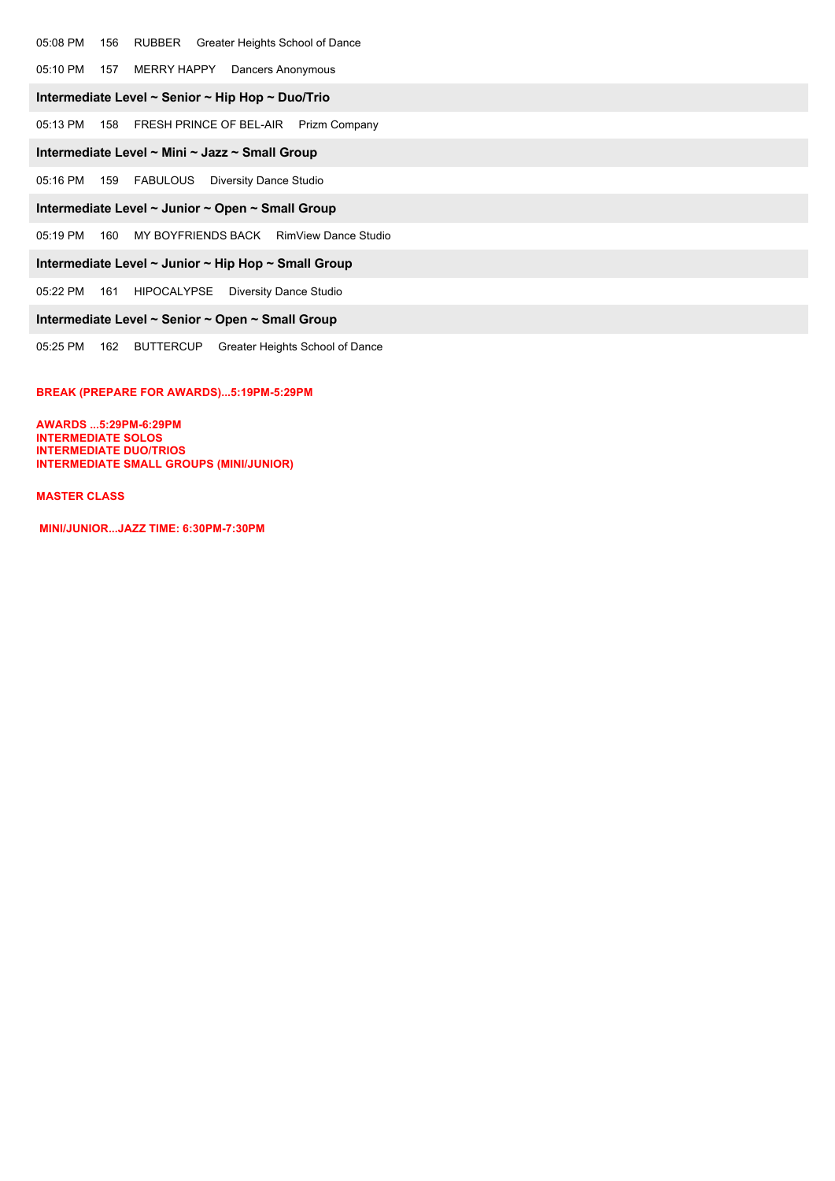#### 05:08 PM 156 RUBBER Greater Heights School of Dance

05:10 PM 157 MERRY HAPPY Dancers Anonymous

#### **Intermediate Level ~ Senior ~ Hip Hop ~ Duo/Trio**

05:13 PM 158 FRESH PRINCE OF BEL-AIR Prizm Company

#### **Intermediate Level ~ Mini ~ Jazz ~ Small Group**

05:16 PM 159 FABULOUS Diversity Dance Studio

## **Intermediate Level ~ Junior ~ Open ~ Small Group**

05:19 PM 160 MY BOYFRIENDS BACK RimView Dance Studio

#### **Intermediate Level ~ Junior ~ Hip Hop ~ Small Group**

05:22 PM 161 HIPOCALYPSE Diversity Dance Studio

## **Intermediate Level ~ Senior ~ Open ~ Small Group**

05:25 PM 162 BUTTERCUP Greater Heights School of Dance

#### **BREAK (PREPARE FOR AWARDS)...5:19PM-5:29PM**

**AWARDS ...5:29PM-6:29PM INTERMEDIATE SOLOS INTERMEDIATE DUO/TRIOS INTERMEDIATE SMALL GROUPS (MINI/JUNIOR)** 

#### **MASTER CLASS**

**MINI/JUNIOR...JAZZ TIME: 6:30PM-7:30PM**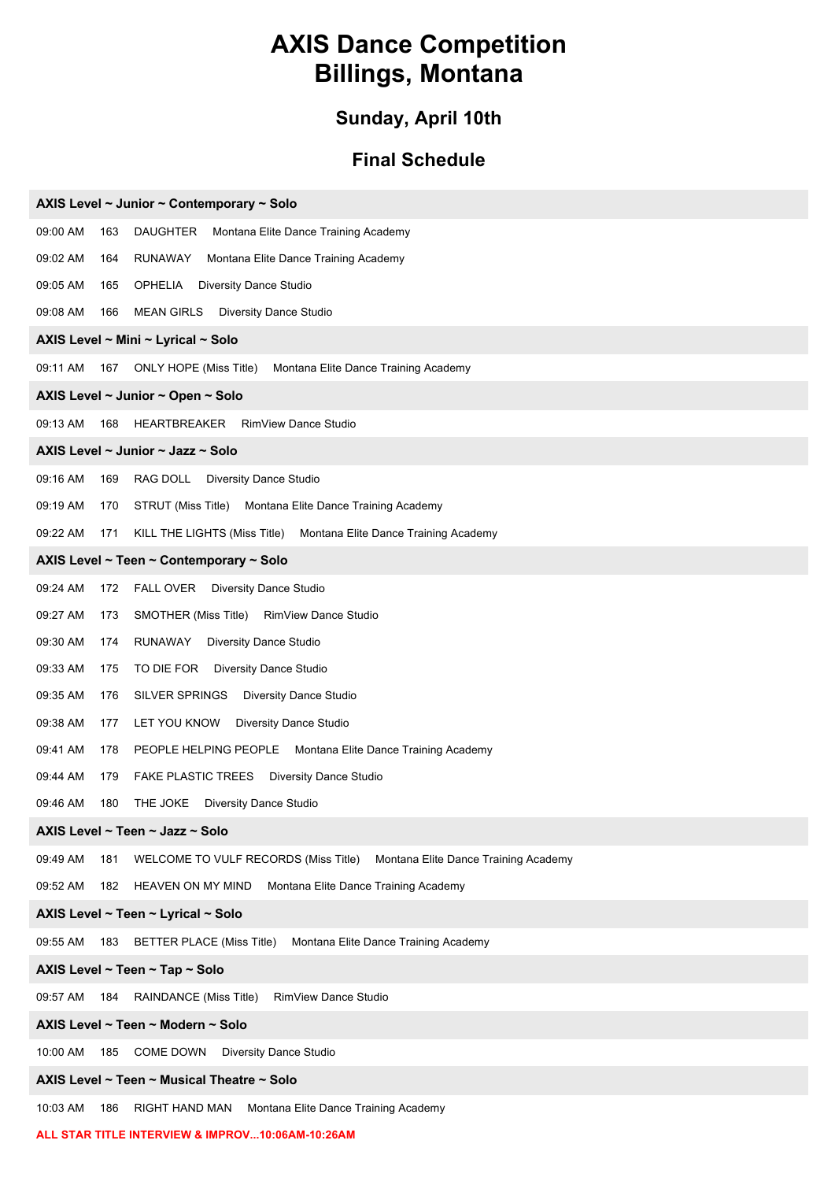# **AXIS Dance Competition Billings, Montana**

# **Sunday, April 10th**

# **Final Schedule**

| AXIS Level ~ Junior ~ Contemporary ~ Solo                                                       |  |  |  |  |
|-------------------------------------------------------------------------------------------------|--|--|--|--|
| 09:00 AM<br><b>DAUGHTER</b><br>Montana Elite Dance Training Academy<br>163                      |  |  |  |  |
| 09:02 AM<br>RUNAWAY<br>Montana Elite Dance Training Academy<br>164                              |  |  |  |  |
| 09:05 AM<br>OPHELIA<br><b>Diversity Dance Studio</b><br>165                                     |  |  |  |  |
| 09:08 AM<br><b>MEAN GIRLS</b><br><b>Diversity Dance Studio</b><br>166                           |  |  |  |  |
| AXIS Level ~ Mini ~ Lyrical ~ Solo                                                              |  |  |  |  |
| 09:11 AM<br>ONLY HOPE (Miss Title)<br>Montana Elite Dance Training Academy<br>167               |  |  |  |  |
| AXIS Level ~ Junior ~ Open ~ Solo                                                               |  |  |  |  |
| RimView Dance Studio<br>09:13 AM<br>HEARTBREAKER<br>168                                         |  |  |  |  |
| AXIS Level ~ Junior ~ Jazz ~ Solo                                                               |  |  |  |  |
| 09:16 AM<br>169<br>RAG DOLL Diversity Dance Studio                                              |  |  |  |  |
| 09:19 AM<br>STRUT (Miss Title)<br>Montana Elite Dance Training Academy<br>170                   |  |  |  |  |
| Montana Elite Dance Training Academy<br>09:22 AM<br>171<br>KILL THE LIGHTS (Miss Title)         |  |  |  |  |
| AXIS Level ~ Teen ~ Contemporary ~ Solo                                                         |  |  |  |  |
| 09:24 AM<br>FALL OVER Diversity Dance Studio<br>172                                             |  |  |  |  |
| 09:27 AM<br>RimView Dance Studio<br>173<br>SMOTHER (Miss Title)                                 |  |  |  |  |
| 09:30 AM<br>RUNAWAY<br><b>Diversity Dance Studio</b><br>174                                     |  |  |  |  |
| 09:33 AM<br>TO DIE FOR Diversity Dance Studio<br>175                                            |  |  |  |  |
| 09:35 AM<br>SILVER SPRINGS<br><b>Diversity Dance Studio</b><br>176                              |  |  |  |  |
| 09:38 AM<br>LET YOU KNOW<br>Diversity Dance Studio<br>177                                       |  |  |  |  |
| 09:41 AM<br>178<br>PEOPLE HELPING PEOPLE Montana Elite Dance Training Academy                   |  |  |  |  |
| 09:44 AM<br>FAKE PLASTIC TREES Diversity Dance Studio<br>179                                    |  |  |  |  |
| THE JOKE Diversity Dance Studio<br>09:46 AM<br>180                                              |  |  |  |  |
| AXIS Level ~ Teen ~ Jazz ~ Solo                                                                 |  |  |  |  |
| 09:49 AM<br>181<br>WELCOME TO VULF RECORDS (Miss Title)<br>Montana Elite Dance Training Academy |  |  |  |  |
| 09:52 AM<br>HEAVEN ON MY MIND<br>182<br>Montana Elite Dance Training Academy                    |  |  |  |  |
| AXIS Level ~ Teen ~ Lyrical ~ Solo                                                              |  |  |  |  |
| 09:55 AM<br>183<br><b>BETTER PLACE (Miss Title)</b><br>Montana Elite Dance Training Academy     |  |  |  |  |
| AXIS Level ~ Teen ~ Tap ~ Solo                                                                  |  |  |  |  |
| 09:57 AM<br><b>RAINDANCE (Miss Title)</b><br>RimView Dance Studio<br>184                        |  |  |  |  |
| AXIS Level ~ Teen ~ Modern ~ Solo                                                               |  |  |  |  |
| 10:00 AM<br>COME DOWN<br><b>Diversity Dance Studio</b><br>185                                   |  |  |  |  |
| AXIS Level ~ Teen ~ Musical Theatre ~ Solo                                                      |  |  |  |  |
| 10:03 AM<br>186<br><b>RIGHT HAND MAN</b><br>Montana Elite Dance Training Academy                |  |  |  |  |

## **ALL STAR TITLE INTERVIEW & IMPROV...10:06AM-10:26AM**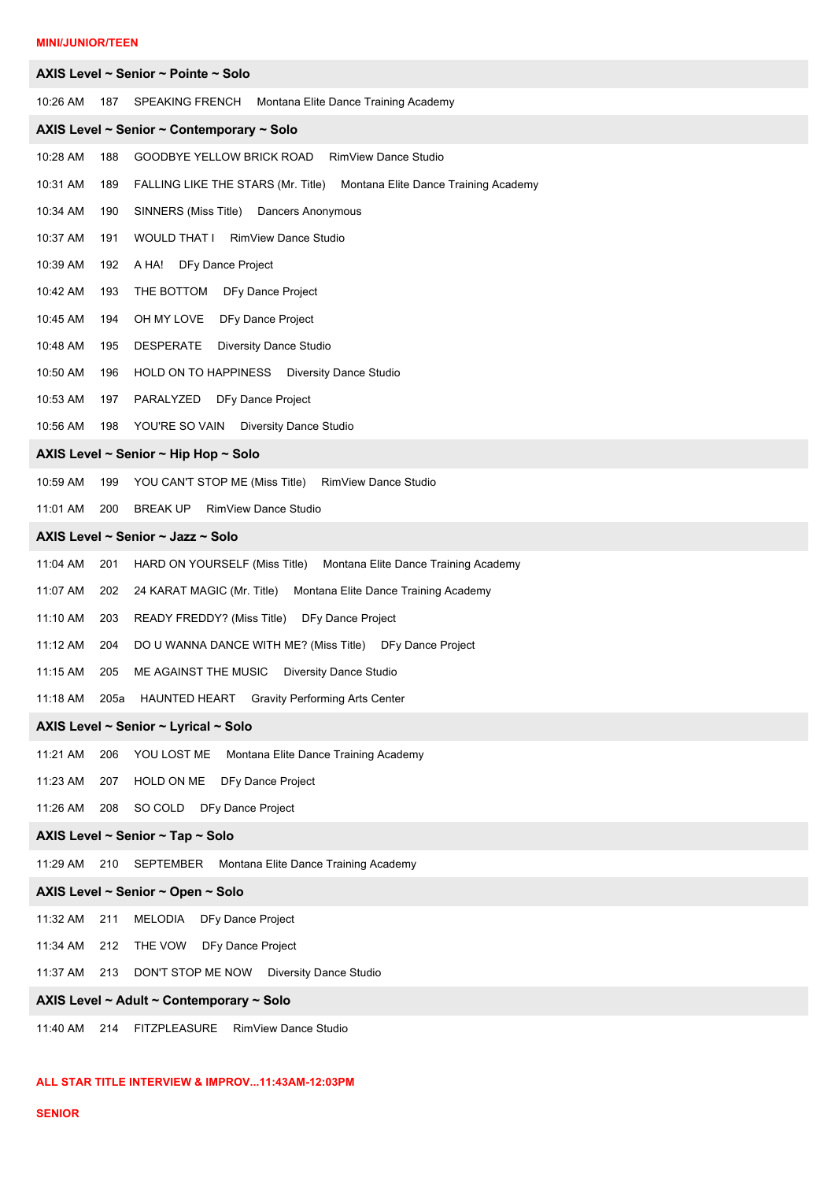# **MINI/JUNIOR/TEEN**

|                                           |      | AXIS Level ~ Senior ~ Pointe ~ Solo                                     |  |  |
|-------------------------------------------|------|-------------------------------------------------------------------------|--|--|
| 10:26 AM                                  | 187  | Montana Elite Dance Training Academy<br>SPEAKING FRENCH                 |  |  |
| AXIS Level ~ Senior ~ Contemporary ~ Solo |      |                                                                         |  |  |
| 10:28 AM                                  | 188  | <b>RimView Dance Studio</b><br>GOODBYE YELLOW BRICK ROAD                |  |  |
| 10:31 AM                                  | 189  | FALLING LIKE THE STARS (Mr. Title) Montana Elite Dance Training Academy |  |  |
| 10:34 AM                                  | 190  | SINNERS (Miss Title) Dancers Anonymous                                  |  |  |
| 10:37 AM                                  | 191  | WOULD THAT I RimView Dance Studio                                       |  |  |
| 10:39 AM                                  | 192  | A HA! DFy Dance Project                                                 |  |  |
| 10:42 AM                                  | 193  | THE BOTTOM DFy Dance Project                                            |  |  |
| 10:45 AM                                  | 194  | OH MY LOVE<br>DFy Dance Project                                         |  |  |
| 10:48 AM                                  | 195  | DESPERATE<br><b>Diversity Dance Studio</b>                              |  |  |
| 10:50 AM                                  | 196  | HOLD ON TO HAPPINESS Diversity Dance Studio                             |  |  |
| 10:53 AM                                  | 197  | PARALYZED<br>DFy Dance Project                                          |  |  |
| 10:56 AM                                  | 198  | YOU'RE SO VAIN Diversity Dance Studio                                   |  |  |
|                                           |      | AXIS Level ~ Senior ~ Hip Hop ~ Solo                                    |  |  |
| 10:59 AM                                  | 199  | YOU CAN'T STOP ME (Miss Title)<br>RimView Dance Studio                  |  |  |
| 11:01 AM                                  | 200  | <b>BREAK UP</b><br><b>RimView Dance Studio</b>                          |  |  |
|                                           |      | AXIS Level ~ Senior ~ Jazz ~ Solo                                       |  |  |
| 11:04 AM                                  | 201  | HARD ON YOURSELF (Miss Title)<br>Montana Elite Dance Training Academy   |  |  |
| 11:07 AM                                  | 202  | 24 KARAT MAGIC (Mr. Title)<br>Montana Elite Dance Training Academy      |  |  |
| 11:10 AM                                  | 203  | READY FREDDY? (Miss Title)<br>DFy Dance Project                         |  |  |
| 11:12 AM                                  | 204  | DO U WANNA DANCE WITH ME? (Miss Title) DFy Dance Project                |  |  |
| 11:15 AM                                  | 205  | ME AGAINST THE MUSIC Diversity Dance Studio                             |  |  |
| 11:18 AM                                  | 205a | HAUNTED HEART Gravity Performing Arts Center                            |  |  |
|                                           |      | AXIS Level ~ Senior ~ Lyrical ~ Solo                                    |  |  |
| 11:21 AM                                  | 206  | YOU LOST ME<br>Montana Elite Dance Training Academy                     |  |  |
| 11:23 AM                                  | 207  | HOLD ON ME DFy Dance Project                                            |  |  |
| 11:26 AM                                  | 208  | SO COLD DFy Dance Project                                               |  |  |
|                                           |      | AXIS Level ~ Senior ~ Tap ~ Solo                                        |  |  |
| 11:29 AM                                  | 210  | Montana Elite Dance Training Academy<br>SEPTEMBER                       |  |  |
|                                           |      | AXIS Level ~ Senior ~ Open ~ Solo                                       |  |  |
| 11:32 AM                                  | 211  | MELODIA<br>DFy Dance Project                                            |  |  |
| 11:34 AM                                  | 212  | THE VOW<br>DFy Dance Project                                            |  |  |
| 11:37 AM                                  | 213  | DON'T STOP ME NOW Diversity Dance Studio                                |  |  |
| AXIS Level ~ Adult ~ Contemporary ~ Solo  |      |                                                                         |  |  |
| 11:40 AM                                  | 214  | <b>FITZPLEASURE</b><br>RimView Dance Studio                             |  |  |

# **ALL STAR TITLE INTERVIEW & IMPROV...11:43AM-12:03PM**

# **SENIOR**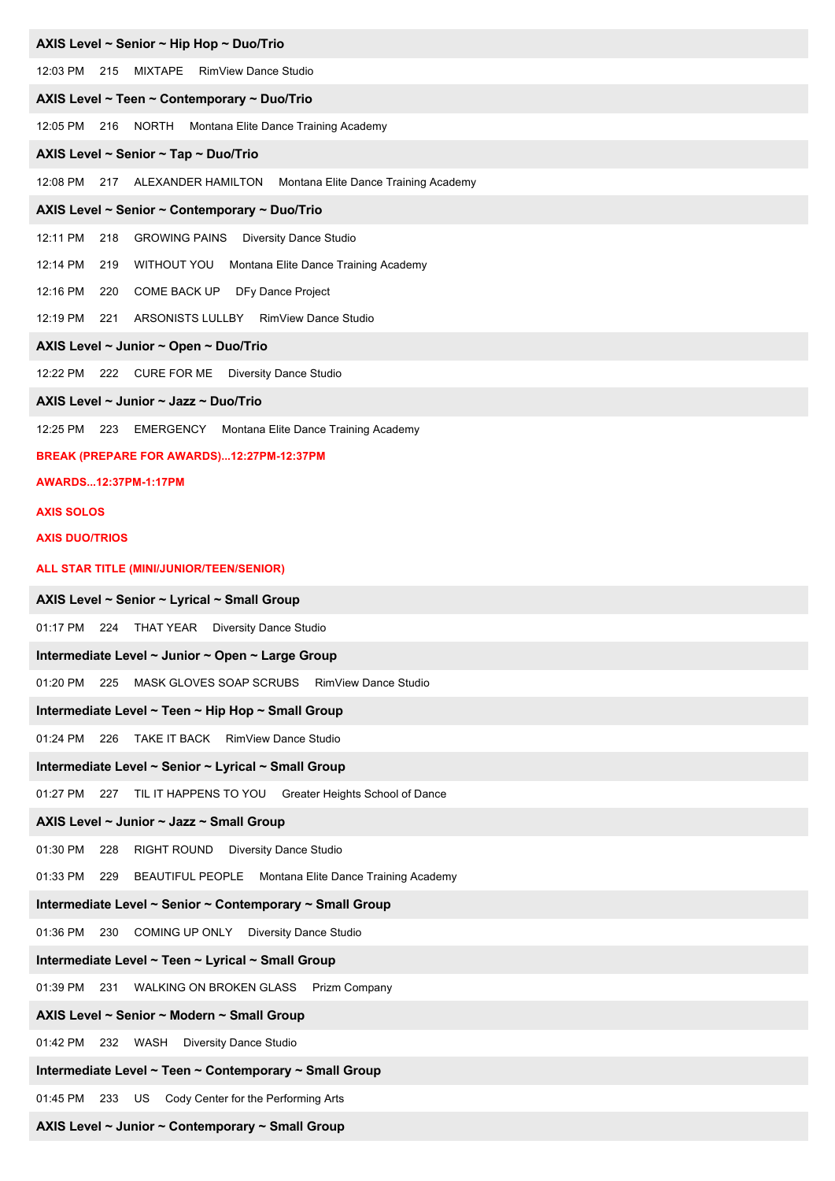#### **AXIS Level ~ Senior ~ Hip Hop ~ Duo/Trio**

12:03 PM 215 MIXTAPE RimView Dance Studio

## **AXIS Level ~ Teen ~ Contemporary ~ Duo/Trio**

12:05 PM 216 NORTH Montana Elite Dance Training Academy

#### **AXIS Level ~ Senior ~ Tap ~ Duo/Trio**

12:08 PM 217 ALEXANDER HAMILTON Montana Elite Dance Training Academy

#### **AXIS Level ~ Senior ~ Contemporary ~ Duo/Trio**

12:11 PM 218 GROWING PAINS Diversity Dance Studio

12:14 PM 219 WITHOUT YOU Montana Elite Dance Training Academy

12:16 PM 220 COME BACK UP DFy Dance Project

12:19 PM 221 ARSONISTS LULLBY RimView Dance Studio

#### **AXIS Level ~ Junior ~ Open ~ Duo/Trio**

12:22 PM 222 CURE FOR ME Diversity Dance Studio

#### **AXIS Level ~ Junior ~ Jazz ~ Duo/Trio**

12:25 PM 223 EMERGENCY Montana Elite Dance Training Academy

#### **BREAK (PREPARE FOR AWARDS)...12:27PM-12:37PM**

#### **AWARDS...12:37PM-1:17PM**

#### **AXIS SOLOS**

#### **AXIS DUO/TRIOS**

#### **ALL STAR TITLE (MINI/JUNIOR/TEEN/SENIOR)**

#### **AXIS Level ~ Senior ~ Lyrical ~ Small Group**

01:17 PM 224 THAT YEAR Diversity Dance Studio

#### **Intermediate Level ~ Junior ~ Open ~ Large Group**

01:20 PM 225 MASK GLOVES SOAP SCRUBS RimView Dance Studio

#### **Intermediate Level ~ Teen ~ Hip Hop ~ Small Group**

01:24 PM 226 TAKE IT BACK RimView Dance Studio

#### **Intermediate Level ~ Senior ~ Lyrical ~ Small Group**

01:27 PM 227 TIL IT HAPPENS TO YOU Greater Heights School of Dance

#### **AXIS Level ~ Junior ~ Jazz ~ Small Group**

01:30 PM 228 RIGHT ROUND Diversity Dance Studio

01:33 PM 229 BEAUTIFUL PEOPLE Montana Elite Dance Training Academy

#### **Intermediate Level ~ Senior ~ Contemporary ~ Small Group**

01:36 PM 230 COMING UP ONLY Diversity Dance Studio

## **Intermediate Level ~ Teen ~ Lyrical ~ Small Group**

01:39 PM 231 WALKING ON BROKEN GLASS Prizm Company

## **AXIS Level ~ Senior ~ Modern ~ Small Group**

01:42 PM 232 WASH Diversity Dance Studio

# **Intermediate Level ~ Teen ~ Contemporary ~ Small Group**

01:45 PM 233 US Cody Center for the Performing Arts

# **AXIS Level ~ Junior ~ Contemporary ~ Small Group**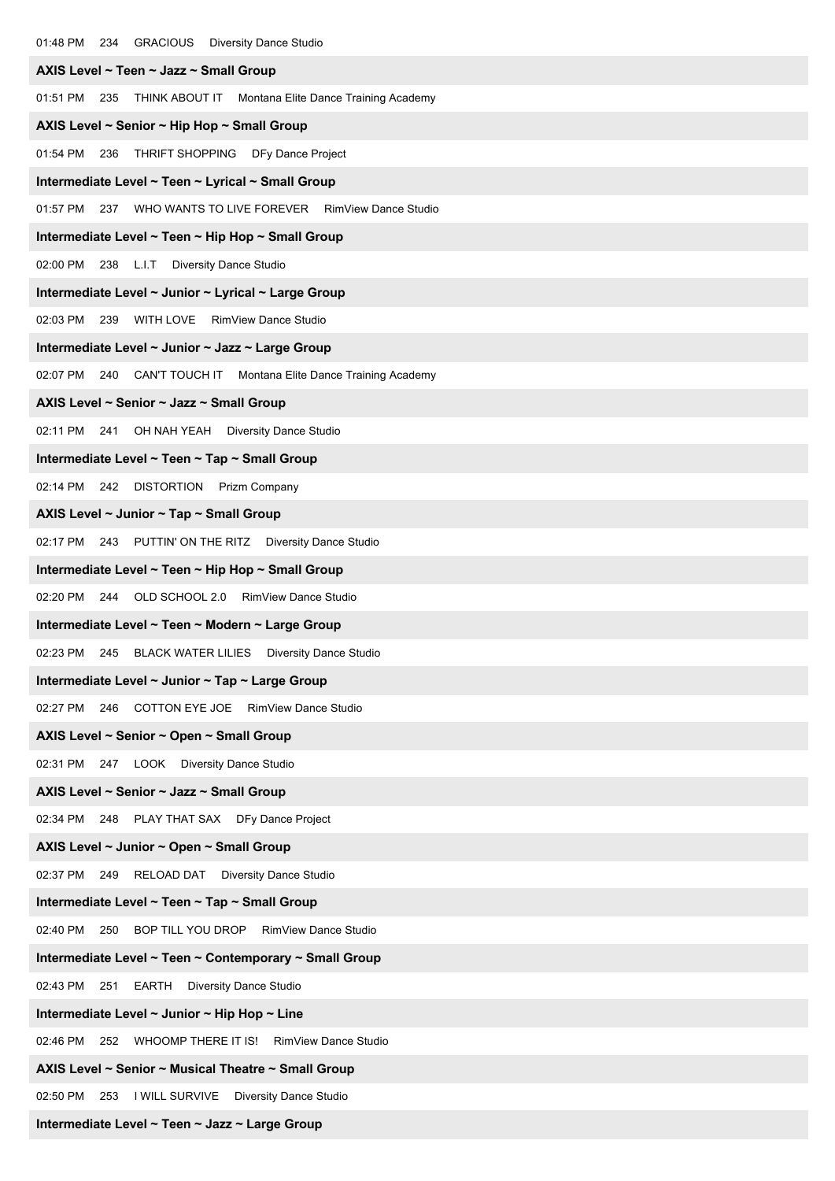| AXIS Level ~ Teen ~ Jazz ~ Small Group                                 |
|------------------------------------------------------------------------|
| 01:51 PM 235<br>THINK ABOUT IT Montana Elite Dance Training Academy    |
| AXIS Level ~ Senior ~ Hip Hop ~ Small Group                            |
| 01:54 PM 236 THRIFT SHOPPING DFy Dance Project                         |
| Intermediate Level ~ Teen ~ Lyrical ~ Small Group                      |
| 01:57 PM 237 WHO WANTS TO LIVE FOREVER RimView Dance Studio            |
| Intermediate Level ~ Teen ~ Hip Hop ~ Small Group                      |
| 02:00 PM 238 L.I.T Diversity Dance Studio                              |
| Intermediate Level ~ Junior ~ Lyrical ~ Large Group                    |
| 02:03 PM 239 WITH LOVE RimView Dance Studio                            |
| Intermediate Level ~ Junior ~ Jazz ~ Large Group                       |
| 02:07 PM<br>240<br>CAN'T TOUCH IT Montana Elite Dance Training Academy |
| AXIS Level ~ Senior ~ Jazz ~ Small Group                               |
| 02:11 PM 241 OH NAH YEAH Diversity Dance Studio                        |
| Intermediate Level ~ Teen ~ Tap ~ Small Group                          |
| 02:14 PM 242 DISTORTION Prizm Company                                  |
| AXIS Level $\sim$ Junior $\sim$ Tap $\sim$ Small Group                 |
| 02:17 PM 243 PUTTIN' ON THE RITZ Diversity Dance Studio                |
| Intermediate Level ~ Teen ~ Hip Hop ~ Small Group                      |
| 02:20 PM 244 OLD SCHOOL 2.0 RimView Dance Studio                       |
| Intermediate Level ~ Teen ~ Modern ~ Large Group                       |
| 02:23 PM 245 BLACK WATER LILIES Diversity Dance Studio                 |
| Intermediate Level ~ Junior ~ Tap ~ Large Group                        |
| 246 COTTON EYE JOE RimView Dance Studio<br>02:27 PM                    |
| AXIS Level ~ Senior ~ Open ~ Small Group                               |
| 02:31 PM 247 LOOK Diversity Dance Studio                               |
| AXIS Level ~ Senior ~ Jazz ~ Small Group                               |
| 02:34 PM 248 PLAY THAT SAX DFy Dance Project                           |
| AXIS Level ~ Junior ~ Open ~ Small Group                               |
| 02:37 PM 249<br>RELOAD DAT Diversity Dance Studio                      |
| Intermediate Level ~ Teen ~ Tap ~ Small Group                          |
| 02:40 PM<br>250<br>BOP TILL YOU DROP RimView Dance Studio              |
| Intermediate Level ~ Teen ~ Contemporary ~ Small Group                 |
| 02:43 PM 251 EARTH Diversity Dance Studio                              |
| Intermediate Level $\sim$ Junior $\sim$ Hip Hop $\sim$ Line            |
| WHOOMP THERE IT IS! RimView Dance Studio<br>02:46 PM<br>252            |
| AXIS Level ~ Senior ~ Musical Theatre ~ Small Group                    |
| 02:50 PM<br>253 I WILL SURVIVE Diversity Dance Studio                  |

**Intermediate Level ~ Teen ~ Jazz ~ Large Group**

01:48 PM 234 GRACIOUS Diversity Dance Studio